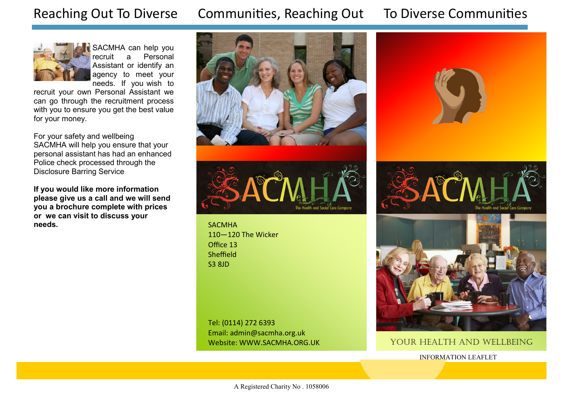# Reaching Out To Diverse Communities, Reaching Out To Diverse Communities



SACMHA can help you<br>recruit a Personal Personal Assistant or identify an agency to meet your needs. If you wish to

recruit your own Personal Assistant we can go through the recruitment process with you to ensure you get the best value for your money.

For your safety and wellbeing SACMHA will help you ensure that your personal assistant has had an enhanced Police check processed through the Disclosure Barring Service

**If you would like more information please give us a call and we will send you a brochure complete with prices or we can visit to discuss your needs.** SACMHA





110—120 The Wicker Office 13 **Sheffield** S3 8JD

Tel: (0114) 272 6393 Email: admin@sacmha.org.uk Website: WWW.SACMHA.ORG.UK







#### YOUR HEALTH AND WELLBEING

INFORMATION LEAFLET

A Registered Charity No . 1058006